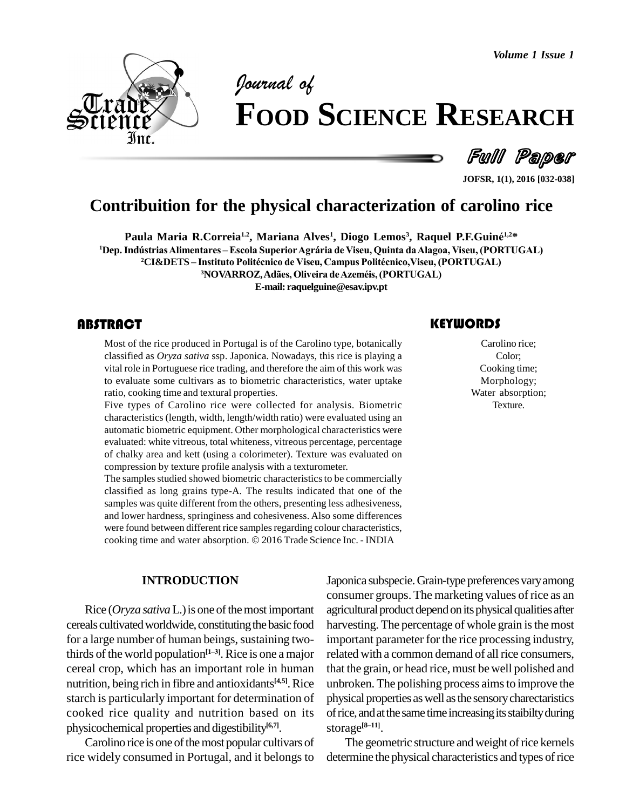*Volume 1 Issue 1*



# *of* **FOOD SCIENCE RESEARCH**

Full Paper

**JOFSR, 1(1), 2016 [032-038]**

# **Contribuition for the physical characterization of carolino rice**<br>
Paula Maria R.Correia<sup>1.2</sup>, Mariana Alves<sup>1</sup>, Diogo Lemos<sup>3</sup>, Raquel P.F.Guiné<sup>1,2\*</sup>

**Paula Maria R.Correia<sup>1.2</sup>, Mariana Alves<sup>1</sup>, Diogo Lemos<sup>3</sup>, Raquel P.F.Guiné<sup>1,2\*</sup> <sup>1</sup>Dep.Ind˙striasAlimentares <sup>ñ</sup> Escola SuperiorAgr·ria de Viseu, Quinta daAlagoa, Viseu, (PORTUGAL)** 1la Maria R.Correia<sup>1.2</sup>, Mariana Alves<sup>1</sup>, Diogo Lemos<sup>3</sup>, Raquel P.F.Guiné<sup>1,2\*</sup><br>ístrias Alimentares – Escola Superior Agrária de Viseu, Quinta da Alagoa, Viseu, (PORTUG<br><sup>2</sup>CI&DETS – Instituto Politécnico de Viseu, Campu tares – Escola Superior Agrária de Viseu, Quinta da Alagoa, Vis<br>**'nstituto Politécnico de Viseu, Campus Politécnico,Viseu, (PORT<br><sup>3</sup>NOVARROZ, Adães, Oliveira de Azeméis, (PORTUGAL) E-mail: [raquelguine@esav.ipv.pt](mailto:raquelguine@esav.ipv.pt)**

Most of the rice produced in Portugal is of the Carolino type, botanically<br>classified as *Oryza sativa* ssp. Japonica. Nowadays, this rice is playing a<br>vital role in Portuguese rice trading, and therefore the aim of this w Most of the rice produced in Portugal is of the Carolino type, botanically classified as *Oryza sativa* ssp.Japonica. Nowadays, this rice is playing a vital role in Portuguese rice trading, and therefore the aim of this work was to evaluate some cultivars as to biometric characteristics, water uptake ratio, cooking time and textural properties.

Five types of Carolino rice were collected for analysis. Biometric characteristics (length, width, length/width ratio) were evaluated using an automatic biometric equipment. Other morphological characteristics were evaluated: white vitreous, total whiteness, vitreous percentage, percentage of chalky area and kett (using a colorimeter). Texture was evaluated on compression by texture profile analysis with a texturometer.

The samples studied showed biometric characteristics to be commercially classified as long grains type-A. The results indicated that one of the samples was quite different from the others, presenting less adhesiveness, and lower hardness, springiness and cohesiveness. Also some differences<br>were found between different rice samples regarding colour characteristics,<br>cooking time and water absorption. © 2016 Trade Science Inc. - INDIA were found between different rice samples regarding colour characteristics,

#### **INTRODUCTION**

Rice  $Oryza$  *sativa* L.) is one of the most important cereals cultivated worldwide, constituting the basic food for a large number of human beings, sustaining twofor a large number of human beings, sustaining two-<br>thirds of the world population<sup>[1–3]</sup>. Rice is one a major rela cereal crop, which has an important role in human nutrition, being rich in fibre and antioxidants<sup>[4,5]</sup>. Rice unbro starch is particularly important for determination of cooked rice quality and nutrition based on its physicochemical properties and digestibility **[6,7]**.

Carolino rice is one of the most popular cultivars of rice widely consumed in Portugal, and it belongs to

#### **KEYWORDS**

Carolino rice; Color; Cooking time; Morphology; Water absorption; Texture.

Japonica subspecie. Grain-type preferences vary among consumer groups. The marketing values of rice as an agricultural product depend on its physical qualities after harvesting. The percentage of whole grain is the most important parameter for the rice processing industry, related with a common demand of all rice consumers, that the grain, or head rice, must be well polished and unbroken. The polishing process aimsto improve the physical properties aswell asthe sensorycharectaristics of rice, and at the same time increasing its staibilty during storage<sup> $[8-11]$ </sup>. storage $[8-11]$ .

The geometric structure and weight of rice kernels determine the physical characteristics and types of rice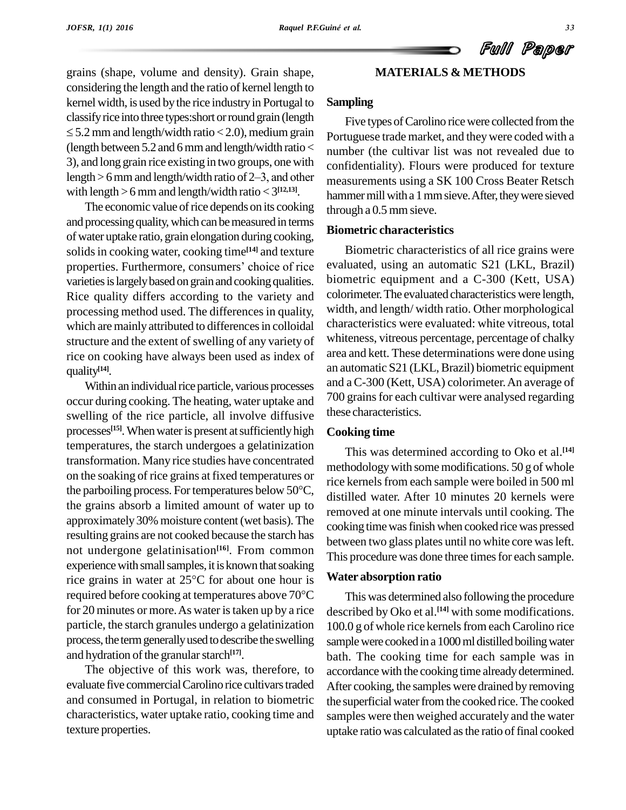#### **MATERIALS & METHODS**

grains (shape, volume and density). Grain shape, considering the length and the ratio of kernel length to kernel width, is used by the rice industry in Portugal to Sampli classifyrice into three types:short orround grain (length  $\leq$  5.2 mm and length/width ratio  $<$  2.0), medium grain (length between 5.2 and 6 mm and length/width ratio  $\lt$  number<br>3), and long grain rice existing in two groups, one with confider<br>length > 6 mm and length/width ratio of 2–3, and other 3), and long grain rice existing in two groups, one with with length  $>$  6 mm and length/width ratio  $<$  3<sup>[12,13]</sup>.

The economic value of rice depends on its cooking and processing quality, which can be measured in terms ofwater uptake ratio, grain elongation during cooking, solids in cooking water, cooking time<sup>[14]</sup> and texture **B** of water uptake ratio, grain elongation during cooking,<br>solids in cooking water, cooking time<sup>[14]</sup> and texture B<br>properties. Furthermore, consumers' choice of rice evalue varieties is largely based on grain and cooking qualities. Rice quality differs according to the variety and processing method used. The differences in quality, which are mainly attributed to differences in colloidal structure and the extent of swelling of any variety of rice on cooking have always been used as index of quality **[14]**.

Within an individual rice particle, various processes occur during cooking. The heating, water uptake and swelling of the rice particle, all involve diffusive processes<sup>[15]</sup>. When water is present at sufficiently high Cooki temperatures, the starch undergoes a gelatinization transformation. Many rice studies have concentrated method<br>on the soaking of rice grains at fixed temperatures or<br>the parboiling process. For temperatures below 50 $^{\circ}$ C, on the soaking of rice grains atfixed temperatures or the grains absorb a limited amount of water up to approximately 30% moisture content(wet basis).The resulting grains are not cooked because the starch has not undergone gelatinisation<sup>[16]</sup>. From common experience with small samples, it is known that soaking rice grains in water at 25°C for about one hour is **Water** experience with small samples, it is known that soaking rice grains in water at  $25^{\circ}$ C for about one hour is required before cooking at temperatures above  $70^{\circ}$ C for 20 minutes or more. As water is taken up by a rice particle, the starch granules undergo a gelatinization process, the term generally used to describe the swelling and hydration of the granular starch<sup>[17]</sup>.

The objective of this work was, therefore, to evaluate five commercial Carolino rice cultivars traded and consumed in Portugal, in relation to biometric characteristics, water uptake ratio, cooking time and texture properties.

#### **Sampling**

Five types of Carolino rice were collected from the Portuguese trade market, and theywere coded with a number (the cultivar list was not revealed due to confidentiality). Flours were produced for texture measurements using a SK 100 Cross Beater Retsch hammer mill with a 1 mm sieve. After, they were sieved through a 0.5 mmsieve.

#### **Biometric characteristics**

Biometric characteristics of all rice grains were evaluated, using an automatic S21 (LKL, Brazil) biometric equipment and a C-300 (Kett, USA) colorimeter.The evaluated characteristics were length, width, and length/ width ratio. Other morphological characteristics were evaluated: white vitreous, total whiteness, vitreous percentage, percentage of chalky area and kett. These determinations were done using an automatic S21 (LKL, Brazil) biometric equipment and aC-300 (Kett, USA) colorimeter.An average of 700 grains for each cultivar were analysed regarding these characteristics.

#### **Cooking time**

This was determined according to Oko et al. **[14]** methodologywith some modifications. 50 g of whole rice kernels from each sample were boiled in 500 ml distilled water. After 10 minutes 20 kernels were removed at one minute intervals until cooking. The cooking timewasfinish when cooked rice was pressed between two glass plates until no white core was left. This procedure was done three times for each sample.

#### **Water absorption ratio**

This was determined also following the procedure described by Oko et al. **[14]** with some modifications. 100.0 g of whole rice kernels from each Carolino rice sample were cooked in a 1000 ml distilled boiling water bath. The cooking time for each sample was in accordance with the cooking time already determined. After cooking, the samples were drained by removing the superficial water from the cooked rice. The cooked samples were then weighed accurately and the water uptake ratio was calculated as the ratio of final cooked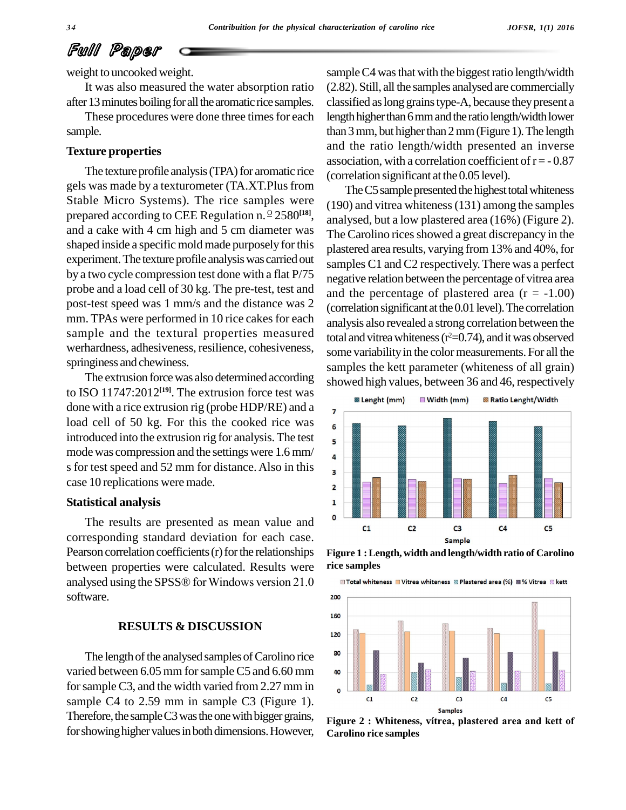## Full Paper

weight to uncooked weight.

It was also measured the water absorption ratio

after 13 minutes boiling for all the aromatic rice samples. These procedures were done three times for each sample.

#### **Texture properties**

The texture profile analysis (TPA) for aromatic rice gels was made by a texturometer (TA.XT.Plus from Stable Micro Systems). The rice samples were prepared according to CEE Regulation n.  $\frac{0}{2}$  2580<sup>[18]</sup>, ana and a cake with 4 cm high and 5 cm diameter was shaped inside a specific mold made purposely forthis experiment.The texture profile analysiswas carried out by a two cycle compression test done with a flat P/75 probe and a load cell of 30 kg. The pre-test, test and post-test speed was 1 mm/s and the distance was 2 mm. TPAs were performed in 10 rice cakes for each sample and the textural properties measured werhardness, adhesiveness, resilience, cohesiveness, springiness and chewiness.

The extrusion forcewas also determined according to ISO 11747:2012 **[19]**. The extrusion force test was done with a rice extrusion rig (probe HDP/RE) and a  $\overline{a}$ load cell of 50 kg. For this the cooked rice was  $\frac{1}{6}$ introduced into the extrusion rig for analysis. The test  $\frac{1}{5}$ mode was compression and the settings were  $1.6$  mm/ $\frac{4}{9}$ s for test speed and 52 mm for distance. Also in this  $\frac{1}{3}$ case 10 replications were made.

#### **Statistical analysis**

The results are presented as mean value and  $\overline{\phantom{a}}$ corresponding standard deviation for each case. Pearson correlation coefficients $(r)$  for the relationships between properties were calculated. Results were analysed using the SPSS® for Windows version  $21.0$   $\blacksquare$  Total whiteness  $\blacksquare$  Vitrea whiteness  $\blacksquare$  Plastered area (%)  $\blacksquare$  % Vitrea  $\blacksquare$  kett software.

#### **RESULTS & DISCUSSION**

The length of the analysed samples of Carolino rice <sup>80</sup> varied between 6.05 mm for sample C5 and 6.60 mm  $\frac{40}{100}$ for sample C3, and the width varied from 2.27 mm in  $\sigma$ sample C4 to 2.59 mm in sample C3 (Figure 1).<br>Therefore, the sample C3 was the one with bigger grains, for showing higher values in both dimensions. However,

sample C4 was that with the biggest ratio length/width (2.82). Still, all the samples analysed are commercially classified as long grains type-A, because they present a length higher than 6 mm and the ratio length/width lower than  $3$  mm, but higher than  $2$  mm (Figure 1). The length and the ratio length/width presented an inverse association, with a correlation coefficient of  $r = -0.87$ (correlation significant at the 0.05 level).

The C5 sample presented the highest total whiteness (190) and vitrea whiteness(131) among the samples analysed, but a low plastered area (16%) (Figure 2). The Carolino rices showed a great discrepancy in the plastered area results, varying from 13% and 40%, for samples C1 and C2 respectively.There was a perfect negative relation between the percentage of vitrea area and the percentage of plastered area  $(r = -1.00)$  $(correlation significant at the 0.01 level).$  The correlation analysis also revealed a strong correlation between the total and vitrea whiteness ( $r^2$ =0.74), and it was observed some variability in the color measurements. For all the samples the kett parameter (whiteness of all grain) showed high values, between 36 and 46, respectively



**Figure 1 :Length, width and length/width ratio of Carolino rice samples**



**Carolino rice samples**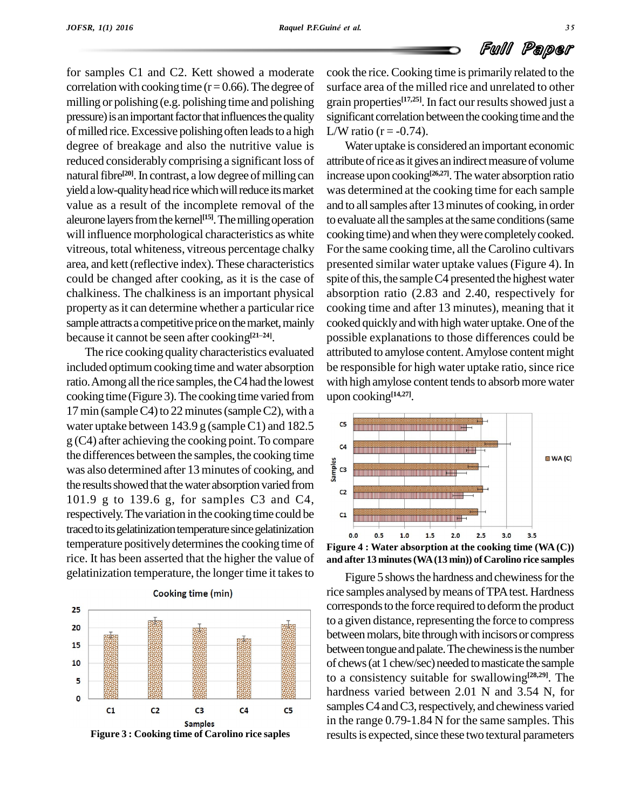for samples C1 and C2. Kett showed a moderate correlation with cooking time ( $r = 0.66$ ). The degree of milling or polishing (e.g. polishing time and polishing pressure) is an important factor that influences the quality of milled rice. Excessive polishing often leads to a high degree of breakage and also the nutritive value is reduced considerably comprising a significant loss of natural fibre<sup>[20]</sup>. In contrast, a low degree of milling can increas yield a low-quality head rice which will reduce its market value as a result of the incomplete removal of the aleurone layers from the kernel<sup>[15]</sup>. The milling operation to evalu will influence morphological characteristics as white vitreous, total whiteness, vitreous percentage chalky area, and kett(reflective index). These characteristics could be changed after cooking, as it is the case of chalkiness. The chalkiness is an important physical property as it can determine whether a particular rice sample attracts a competitive price on the market, mainly cooked<br>because it cannot be seen after cooking<sup>[21–24]</sup>. possible because it cannot be seen after cooking $[21-24]$ .

The rice cooking quality characteristics evaluated included optimum cooking time and water absorption ratio. Among all the rice samples, the C4 had the lowest cooking time (Figure 3). The cooking time varied from 17 min (sample C4) to 22 minutes (sample C2), with a water uptake between  $143.9$  g (sample C1) and  $182.5$  $g(C4)$  after achieving the cooking point. To compare the differences between the samples, the cooking time<br>was also determined after 13 minutes of cooking, and  $\frac{a}{\frac{a}{5}}$ was also determined after 13 minutes of cooking, and the results showed that the water absorption varied from  $\int_{c_2}^{\infty}$ 101.9 g to 139.6 g, for samples C3 and C4, respectively. The variation in the cooking time could be  $\qquad$ traced to its gelatinization temperature since gelatinization temperature positively determines the cooking time of rice. It has been asserted that the higher the value of gelatinization temperature, the longer time it takesto



cook the rice.Cooking time is primarily related to the surface area of the milled rice and unrelated to other grain properties<sup>[17,25]</sup>. In fact our results showed just a significant correlation between the cooking time and the L/W ratio ( $r = -0.74$ ).

Water uptake is considered an important economic attribute of rice as it gives an indirect measure of volume increase upon cooking **[26,27]**.Thewater absorption ratio was determined at the cooking time for each sample and to allsamples after 13minutes of cooking, in order to evaluate all the samples at the same conditions (same cooking time) andwhen theywere completelycooked. For the same cooking time, all the Carolino cultivars presented similar water uptake values(Figure 4). In spite of this, the sample C4 presented the highest water absorption ratio (2.83 and 2.40, respectively for cooking time and after 13 minutes), meaning that it cooked quickly and with high water uptake. One of the possible explanations to those differences could be attributed to amylose content.Amylose content might be responsible for high water uptake ratio, since rice with high amylose content tends to absorb more water upon cooking **[14,27]**.





Figure 5 shows the hardness and chewiness for the rice samples analysed by means of TPA test. Hardness corresponds to the force required to deform the product to a given distance, representing the force to compress between molars, bite through with incisors or compress between tongue and palate. The chewiness is the number of chews (at 1 chew/sec) needed to masticate the sample to a consistency suitable for swallowing **[28,29]**. The hardness varied between 2.01 N and 3.54 N, for samples C4 and C3, respectively, and chewiness varied in the range 0.79-1.84 N for the same samples. This results is expected, since these two textural parameters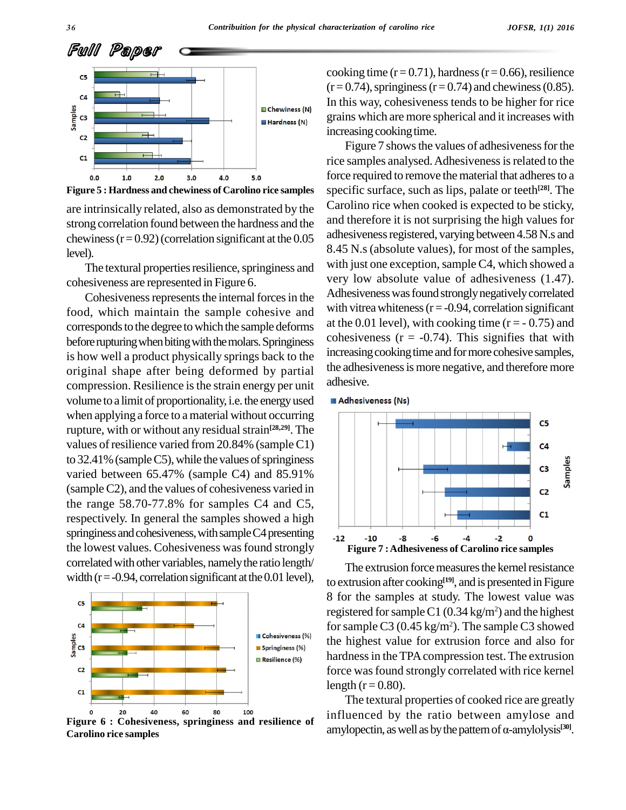



are intrinsically related, also as demonstrated by the strong correlation found between the hardness and the chewiness  $(r=0.92)$  (correlation significant at the 0.05 level).

The textural properties resilience, springiness and cohesiveness are represented in Figure 6.

Cohesiveness represents the internal forces in the food, which maintain the sample cohesive and corresponds to the degree to which the sample deforms before rupturing when biting with the molars. Springiness is how well a product physically springs back to the original shape after being deformed by partial compression. Resilience is the strain energy per unit volume to a limit of proportionality, i.e. the energy used **Adhesiveness** (Ns) when applying a force to amaterial without occurring rupture, with or without any residual strain<sup>[28,29]</sup>. The values of resilience varied from 20.84% (sample C1) to  $32.41\%$  (sample C5), while the values of springiness varied between 65.47% (sample C4) and 85.91% (sampleC2), and the values of cohesiveness varied in the range 58.70-77.8% for samples C4 and C5, respectively. In general the samples showed a high springiness and cohesiveness, with sample C4 presenting  $\frac{1}{12}$ the lowest values. Cohesiveness was found strongly correlated with other variables, namely the ratio length/ width ( $r = -0.94$ , correlation significant at the 0.01 level),



**Figure 6 : Cohesiveness, springiness and resilience of Carolino rice samples**

cooking time ( $r = 0.71$ ), hardness ( $r = 0.66$ ), resilience  $(r=0.74)$ , springiness  $(r=0.74)$  and chewiness (0.85). In this way, cohesiveness tends to be higher for rice grains which are more spherical and it increases with increasing cooking time.

Figure 7 shows the values of adhesiveness for the rice samples analysed. Adhesiveness is related to the force required to remove the material that adheres to a specific surface, such as lips, palate or teeth **[28]**. The Carolino rice when cooked is expected to be sticky, and therefore it is not surprising the high values for adhesiveness registered, varying between 4.58 N.s and 8.45 N.s (absolute values), for most of the samples, with just one exception, sample C4, which showed a very low absolute value of adhesiveness (1.47). Adhesiveness was found strongly negatively correlated with vitrea whiteness  $(r = -0.94,$  correlation significant at the 0.01 level), with cooking time  $(r = -0.75)$  and cohesiveness  $(r = -0.74)$ . This signifies that with increasing cooking time and for more cohesive samples, the adhesiveness is more negative, and therefore more adhesive.



The extrusion force measures the kernel resistance to extrusion after cooking<sup>[19]</sup>, and is presented in Figure 8 for the samples at study. The lowest value was registered for sample C1  $(0.34 \text{ kg/m}^2)$  and the highest for sample C3 (0.45 kg/m<sup>2</sup>). The sample C3 showed the highest value for extrusion force and also for hardness in the TPA compression test. The extrusion force was found strongly correlated with rice kernel length ( $r = 0.80$ ).

The textural properties of cooked rice are greatly influenced by the ratio between amylose and The textural properties of cooked rice are greatly<br>influenced by the ratio between amylose and<br>amylopectin, as well as by the pattern of  $\alpha$ -amylolysis<sup>[30]</sup>. amylopectin, as well as by the pattern of  $\alpha$ -amylolysis<sup>[30]</sup>.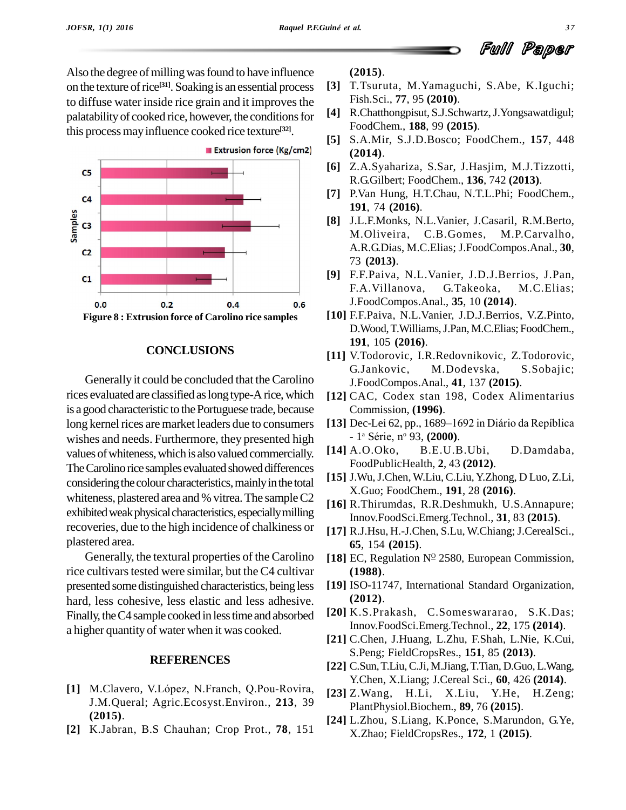Also the degree of milling was found to have influence on the texture of rice<sup>[31]</sup>. Soaking is an essential process [3] to diffuse water inside rice grain and it improves the palatability of cooked rice, however, the conditions for this processmayinfluence cooked rice texture **[32]**.



#### **CONCLUSIONS**

Generally it could be concluded that the Carolino rices evaluated are classified as long type-A rice, which is agood characteristic to thePortuguese trade, because long kernel rices are market leaders due to consumers wishes and needs. Furthermore, they presented high values of whiteness, which is also valued commercially. The Carolino rice samples evaluated showed differences considering the colour characteristics, mainly in the total whiteness, plastered area and % vitrea. The sample C2 exhibited weak physical characteristics, especially milling recoveries, due to the high incidence of chalkiness or plastered area.

Generally, the textural properties of the Carolino rice cultivars tested were similar, but the C4 cultivar presented some distinguished characteristics, being less hard, less cohesive, less elastic and less adhesive. Finally, the C4 sample cooked in less time and absorbed a higher quantity of water when it was cooked.

#### **REFERENCES**

- [1] M.Clavero, V.López, N.Franch, Q.Pou-Rovira, J.M.Queral; Agric.Ecosyst.Environ., **213**, 39 **(2015)**.
- **[2]** K.Jabran, B.S Chauhan; Crop Prot., **78**, 151

**(2015)**.

- **[3]** T.Tsuruta, M.Yamaguchi, S.Abe, K.Iguchi; Fish.Sci., **77**, 95 **(2010)**.
- **[4]** R.Chatthongpisut, S.J.Schwartz,J.Yongsawatdigul; FoodChem., **188**, 99 **(2015)**.
- **[5]** S.A.Mir, S.J.D.Bosco; FoodChem., **157**, 448 **(2014)**.
- **[6]** Z.A.Syahariza, S.Sar, J.Hasjim, M.J.Tizzotti, R.G.Gilbert; FoodChem., **136**, 742 **(2013)**.
- **[7]** P.Van Hung, H.T.Chau, N.T.L.Phi; FoodChem., **191**, 74 **(2016)**.
- **[8]** J.L.F.Monks, N.L.Vanier, J.Casaril, R.M.Berto, M.Oliveira, C.B.Gomes, M.P.Carvalho, A.R.G.Dias, M.C.Elias; J.FoodCompos.Anal., **30**, 73 **(2013)**.
- **[9]** F.F.Paiva, N.L.Vanier, J.D.J.Berrios, J.Pan, F.A.Villanova, G.Takeoka, M.C.Elias; J.FoodCompos.Anal., **35**, 10 **(2014)**.
- **[10]** F.F.Paiva, N.L.Vanier, J.D.J.Berrios, V.Z.Pinto, D.Wood,T.Williams,J.Pan, M.C.Elias; FoodChem., **191**, 105 **(2016)**.
- **[11]** V.Todorovic, I.R.Redovnikovic, Z.Todorovic, G.Jankovic, M.Dodevska, S.Sobajic; J.FoodCompos.Anal., **41**, 137 **(2015)**.
- **[12]** CAC, Codex stan 198, Codex Alimentarius Commission, **(1996)**. [12] CAC, Codex stan 198, Codex Alimentarius<br>Commission, (1996).<br>[13] Dec-Lei 62, pp., 1689–1692 in Diário da Repíblica
- 1<sup>a</sup> Série, nº 93, (**2000**). mmission, (**1996**).<br>c-Lei 62, pp., 1689<br>ª Série, nº 93, (**20**0
- **[14]** A.O.Oko, B.E.U.B.Ubi, D.Damdaba, FoodPublicHealth, **2**, 43 **(2012)**.
- **[15]** J.Wu,J.Chen, W.Liu, C.Liu,Y.Zhong, D Luo, Z.Li, X.Guo; FoodChem., **191**, 28 **(2016)**.
- **[16]** R.Thirumdas, R.R.Deshmukh, U.S.Annapure; Innov.FoodSci.Emerg.Technol., **31**, 83 **(2015)**.
- [17] R.J.Hsu, H.-J.Chen, S.Lu, W.Chiang; J.CerealSci., **65**, 154 **(2015)**.
- [18] EC, Regulation  $N^{\Omega}$  2580, European Commission, **(1988)**.
- **[19]** ISO-11747, International Standard Organization, **(2012)**.
- **[20]** K.S.Prakash, C.Someswararao, S.K.Das; Innov.FoodSci.Emerg.Technol., **22**, 175 **(2014)**.
- **[21]** C.Chen, J.Huang, L.Zhu, F.Shah, L.Nie, K.Cui, S.Peng; FieldCropsRes., **151**, 85 **(2013)**.
- **[22]** C.Sun,T.Liu,C.Ji, M.Jiang,T.Tian, D.Guo,L.Wang, Y.Chen, X.Liang; J.Cereal Sci., **60**, 426 **(2014)**.
- **[23]** Z.Wang, H.Li, X.Liu, Y.He, H.Zeng; PlantPhysiol.Biochem., **89**, 76 **(2015)**.
- **[24]** L.Zhou, S.Liang, K.Ponce, S.Marundon, G.Ye, X.Zhao; FieldCropsRes., **172**, 1 **(2015)**.